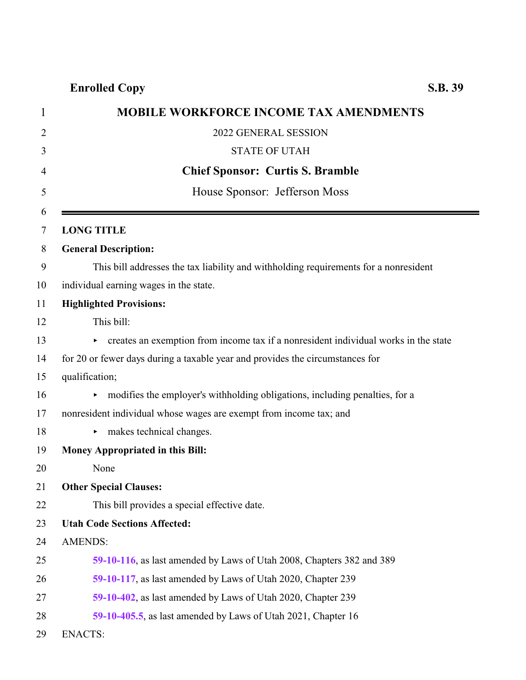| <b>MOBILE WORKFORCE INCOME TAX AMENDMENTS</b>                                             |
|-------------------------------------------------------------------------------------------|
| 2022 GENERAL SESSION                                                                      |
| <b>STATE OF UTAH</b>                                                                      |
| <b>Chief Sponsor: Curtis S. Bramble</b>                                                   |
| House Sponsor: Jefferson Moss                                                             |
| <b>LONG TITLE</b>                                                                         |
| <b>General Description:</b>                                                               |
| This bill addresses the tax liability and withholding requirements for a nonresident      |
| individual earning wages in the state.                                                    |
| <b>Highlighted Provisions:</b>                                                            |
| This bill:                                                                                |
| creates an exemption from income tax if a nonresident individual works in the state<br>Þ. |
| for 20 or fewer days during a taxable year and provides the circumstances for             |
| qualification;                                                                            |
| modifies the employer's withholding obligations, including penalties, for a               |
| nonresident individual whose wages are exempt from income tax; and                        |
| makes technical changes.                                                                  |
| Money Appropriated in this Bill:                                                          |
| None                                                                                      |
| <b>Other Special Clauses:</b>                                                             |
| This bill provides a special effective date.                                              |
| <b>Utah Code Sections Affected:</b>                                                       |
| <b>AMENDS:</b>                                                                            |
| 59-10-116, as last amended by Laws of Utah 2008, Chapters 382 and 389                     |
| 59-10-117, as last amended by Laws of Utah 2020, Chapter 239                              |
| 59-10-402, as last amended by Laws of Utah 2020, Chapter 239                              |
| 59-10-405.5, as last amended by Laws of Utah 2021, Chapter 16                             |
| <b>ENACTS:</b>                                                                            |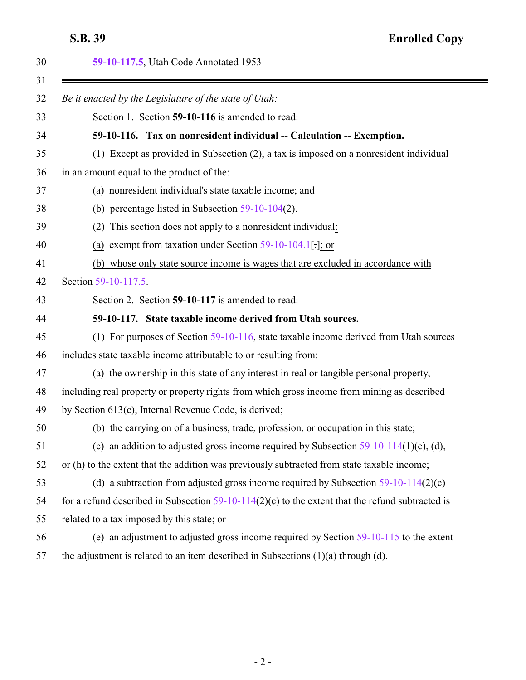<span id="page-1-1"></span><span id="page-1-0"></span>

|          | 59-10-117.5, Utah Code Annotated 1953                                                              |
|----------|----------------------------------------------------------------------------------------------------|
|          | Be it enacted by the Legislature of the state of Utah:                                             |
| 32<br>33 | Section 1. Section 59-10-116 is amended to read:                                                   |
| 34       | 59-10-116. Tax on nonresident individual -- Calculation -- Exemption.                              |
| 35       | (1) Except as provided in Subsection (2), a tax is imposed on a nonresident individual             |
| 36       | in an amount equal to the product of the:                                                          |
| 37       | (a) nonresident individual's state taxable income; and                                             |
| 38       | (b) percentage listed in Subsection $59-10-104(2)$ .                                               |
| 39       | (2) This section does not apply to a nonresident individual:                                       |
| 40       | (a) exempt from taxation under Section $59-10-104.1$ [:]; or                                       |
| 41       | (b) whose only state source income is wages that are excluded in accordance with                   |
| 42       | Section 59-10-117.5                                                                                |
| 43       | Section 2. Section 59-10-117 is amended to read:                                                   |
| 44       | 59-10-117. State taxable income derived from Utah sources.                                         |
| 45       | (1) For purposes of Section $59-10-116$ , state taxable income derived from Utah sources           |
| 46       | includes state taxable income attributable to or resulting from:                                   |
| 47       | (a) the ownership in this state of any interest in real or tangible personal property,             |
| 48       | including real property or property rights from which gross income from mining as described        |
| 49       | by Section 613(c), Internal Revenue Code, is derived;                                              |
| 50       | (b) the carrying on of a business, trade, profession, or occupation in this state;                 |
| 51       | (c) an addition to adjusted gross income required by Subsection $59-10-114(1)$ (c), (d),           |
| 52       | or (h) to the extent that the addition was previously subtracted from state taxable income;        |
| 53       | (d) a subtraction from adjusted gross income required by Subsection $59-10-114(2)(c)$              |
| 54       | for a refund described in Subsection $59-10-114(2)(c)$ to the extent that the refund subtracted is |
| 55       | related to a tax imposed by this state; or                                                         |
| 56       | (e) an adjustment to adjusted gross income required by Section $59-10-115$ to the extent           |
| 57       | the adjustment is related to an item described in Subsections $(1)(a)$ through $(d)$ .             |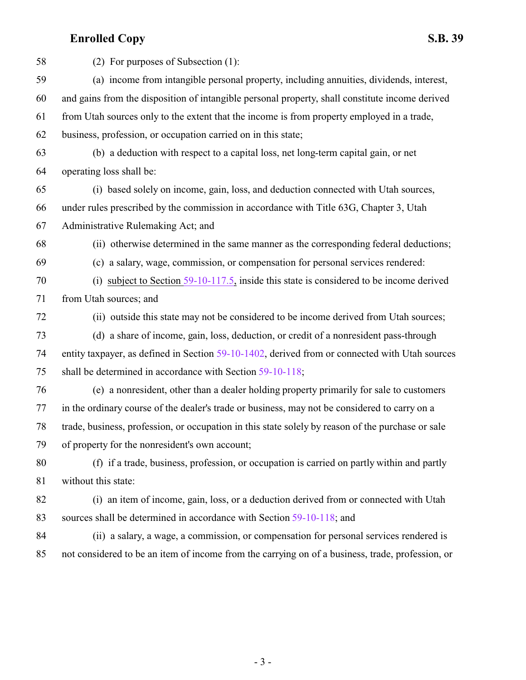| 58 | (2) For purposes of Subsection (1):                                                               |
|----|---------------------------------------------------------------------------------------------------|
| 59 | (a) income from intangible personal property, including annuities, dividends, interest,           |
| 60 | and gains from the disposition of intangible personal property, shall constitute income derived   |
| 61 | from Utah sources only to the extent that the income is from property employed in a trade,        |
| 62 | business, profession, or occupation carried on in this state;                                     |
| 63 | (b) a deduction with respect to a capital loss, net long-term capital gain, or net                |
| 64 | operating loss shall be:                                                                          |
| 65 | (i) based solely on income, gain, loss, and deduction connected with Utah sources,                |
| 66 | under rules prescribed by the commission in accordance with Title 63G, Chapter 3, Utah            |
| 67 | Administrative Rulemaking Act; and                                                                |
| 68 | (ii) otherwise determined in the same manner as the corresponding federal deductions;             |
| 69 | (c) a salary, wage, commission, or compensation for personal services rendered:                   |
| 70 | (i) subject to Section $59-10-117.5$ , inside this state is considered to be income derived       |
| 71 | from Utah sources; and                                                                            |
| 72 | (ii) outside this state may not be considered to be income derived from Utah sources;             |
| 73 | (d) a share of income, gain, loss, deduction, or credit of a nonresident pass-through             |
| 74 | entity taxpayer, as defined in Section 59-10-1402, derived from or connected with Utah sources    |
| 75 | shall be determined in accordance with Section 59-10-118;                                         |
| 76 | (e) a nonresident, other than a dealer holding property primarily for sale to customers           |
| 77 | in the ordinary course of the dealer's trade or business, may not be considered to carry on a     |
| 78 | trade, business, profession, or occupation in this state solely by reason of the purchase or sale |
| 79 | of property for the nonresident's own account;                                                    |
| 80 | (f) if a trade, business, profession, or occupation is carried on partly within and partly        |
| 81 | without this state:                                                                               |
| 82 | (i) an item of income, gain, loss, or a deduction derived from or connected with Utah             |
| 83 | sources shall be determined in accordance with Section 59-10-118; and                             |
| 84 | (ii) a salary, a wage, a commission, or compensation for personal services rendered is            |
| 85 | not considered to be an item of income from the carrying on of a business, trade, profession, or  |
|    |                                                                                                   |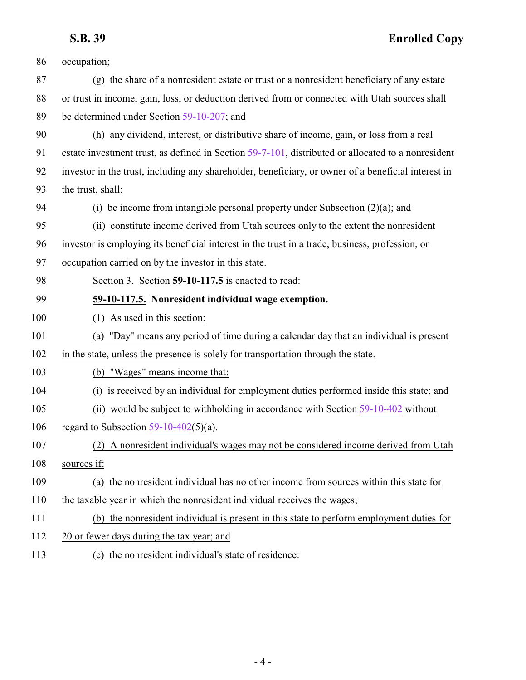<span id="page-3-0"></span>

| 86  | occupation;                                                                                         |
|-----|-----------------------------------------------------------------------------------------------------|
| 87  | (g) the share of a nonresident estate or trust or a nonresident beneficiary of any estate           |
| 88  | or trust in income, gain, loss, or deduction derived from or connected with Utah sources shall      |
| 89  | be determined under Section 59-10-207; and                                                          |
| 90  | (h) any dividend, interest, or distributive share of income, gain, or loss from a real              |
| 91  | estate investment trust, as defined in Section 59-7-101, distributed or allocated to a nonresident  |
| 92  | investor in the trust, including any shareholder, beneficiary, or owner of a beneficial interest in |
| 93  | the trust, shall:                                                                                   |
| 94  | (i) be income from intangible personal property under Subsection $(2)(a)$ ; and                     |
| 95  | (ii) constitute income derived from Utah sources only to the extent the nonresident                 |
| 96  | investor is employing its beneficial interest in the trust in a trade, business, profession, or     |
| 97  | occupation carried on by the investor in this state.                                                |
| 98  | Section 3. Section 59-10-117.5 is enacted to read:                                                  |
| 99  | 59-10-117.5. Nonresident individual wage exemption.                                                 |
| 100 | (1) As used in this section:                                                                        |
| 101 | (a) "Day" means any period of time during a calendar day that an individual is present              |
| 102 | in the state, unless the presence is solely for transportation through the state.                   |
| 103 | (b) "Wages" means income that:                                                                      |
| 104 | (i) is received by an individual for employment duties performed inside this state; and             |
| 105 | (ii) would be subject to withholding in accordance with Section 59-10-402 without                   |
| 106 | regard to Subsection $59-10-402(5)(a)$ .                                                            |
| 107 | (2) A nonresident individual's wages may not be considered income derived from Utah                 |
| 108 | sources if:                                                                                         |
| 109 | (a) the nonresident individual has no other income from sources within this state for               |
| 110 | the taxable year in which the nonresident individual receives the wages;                            |
| 111 | (b) the nonresident individual is present in this state to perform employment duties for            |
|     |                                                                                                     |
| 112 | 20 or fewer days during the tax year; and                                                           |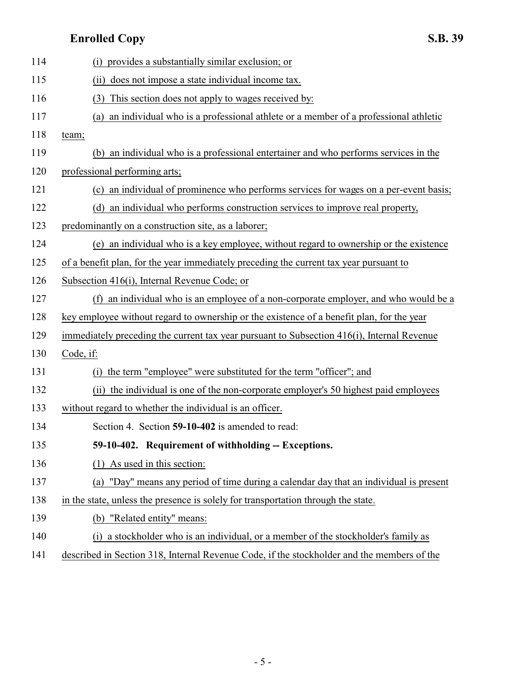<span id="page-4-0"></span>

| 114 | (i) provides a substantially similar exclusion; or                                         |
|-----|--------------------------------------------------------------------------------------------|
| 115 | (ii) does not impose a state individual income tax.                                        |
| 116 | (3) This section does not apply to wages received by:                                      |
| 117 | an individual who is a professional athlete or a member of a professional athletic<br>(a)  |
| 118 | team;                                                                                      |
| 119 | (b) an individual who is a professional entertainer and who performs services in the       |
| 120 | professional performing arts;                                                              |
| 121 | (c) an individual of prominence who performs services for wages on a per-event basis;      |
| 122 | (d) an individual who performs construction services to improve real property,             |
| 123 | predominantly on a construction site, as a laborer;                                        |
| 124 | (e) an individual who is a key employee, without regard to ownership or the existence      |
| 125 | of a benefit plan, for the year immediately preceding the current tax year pursuant to     |
| 126 | Subsection 416(i), Internal Revenue Code; or                                               |
| 127 | (f) an individual who is an employee of a non-corporate employer, and who would be a       |
| 128 | key employee without regard to ownership or the existence of a benefit plan, for the year  |
| 129 | immediately preceding the current tax year pursuant to Subsection 416(i), Internal Revenue |
| 130 | Code, if:                                                                                  |
| 131 | the term "employee" were substituted for the term "officer"; and<br>(i)                    |
| 132 | (ii) the individual is one of the non-corporate employer's 50 highest paid employees       |
| 133 | without regard to whether the individual is an officer.                                    |
| 134 | Section 4. Section 59-10-402 is amended to read:                                           |
| 135 | 59-10-402. Requirement of withholding -- Exceptions.                                       |
| 136 | $(1)$ As used in this section:                                                             |
| 137 | (a) "Day" means any period of time during a calendar day that an individual is present     |
| 138 | in the state, unless the presence is solely for transportation through the state.          |
| 139 | (b) "Related entity" means:                                                                |
| 140 | (i) a stockholder who is an individual, or a member of the stockholder's family as         |
| 141 | described in Section 318, Internal Revenue Code, if the stockholder and the members of the |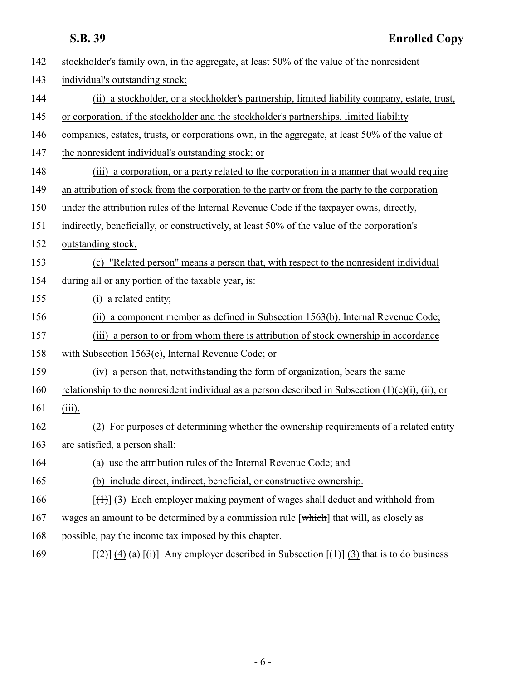| 142 | stockholder's family own, in the aggregate, at least 50% of the value of the nonresident                                         |
|-----|----------------------------------------------------------------------------------------------------------------------------------|
| 143 | individual's outstanding stock;                                                                                                  |
| 144 | (ii) a stockholder, or a stockholder's partnership, limited liability company, estate, trust,                                    |
| 145 | or corporation, if the stockholder and the stockholder's partnerships, limited liability                                         |
| 146 | companies, estates, trusts, or corporations own, in the aggregate, at least 50% of the value of                                  |
| 147 | the nonresident individual's outstanding stock; or                                                                               |
| 148 | (iii) a corporation, or a party related to the corporation in a manner that would require                                        |
| 149 | an attribution of stock from the corporation to the party or from the party to the corporation                                   |
| 150 | under the attribution rules of the Internal Revenue Code if the taxpayer owns, directly,                                         |
| 151 | indirectly, beneficially, or constructively, at least 50% of the value of the corporation's                                      |
| 152 | outstanding stock.                                                                                                               |
| 153 | (c) "Related person" means a person that, with respect to the nonresident individual                                             |
| 154 | during all or any portion of the taxable year, is:                                                                               |
| 155 | (i) a related entity;                                                                                                            |
| 156 | (ii) a component member as defined in Subsection 1563(b), Internal Revenue Code;                                                 |
| 157 | (iii) a person to or from whom there is attribution of stock ownership in accordance                                             |
| 158 | with Subsection 1563(e), Internal Revenue Code; or                                                                               |
| 159 | (iv) a person that, notwithstanding the form of organization, bears the same                                                     |
| 160 | relationship to the nonresident individual as a person described in Subsection $(1)(c)(i)$ , (ii), or                            |
| 161 | $(iii)$ .                                                                                                                        |
| 162 | For purposes of determining whether the ownership requirements of a related entity                                               |
| 163 | are satisfied, a person shall:                                                                                                   |
| 164 | (a) use the attribution rules of the Internal Revenue Code; and                                                                  |
| 165 | (b) include direct, indirect, beneficial, or constructive ownership.                                                             |
| 166 | $[\text{+}]$ (3) Each employer making payment of wages shall deduct and withhold from                                            |
| 167 | wages an amount to be determined by a commission rule $[\overline{\text{which}}]$ that will, as closely as                       |
| 168 | possible, pay the income tax imposed by this chapter.                                                                            |
| 169 | $[\frac{1}{2}](4)(a)$ $[\frac{1}{2}](1)(a)$ Any employer described in Subsection $[\frac{1}{2}](3)(1)(a)$ that is to do business |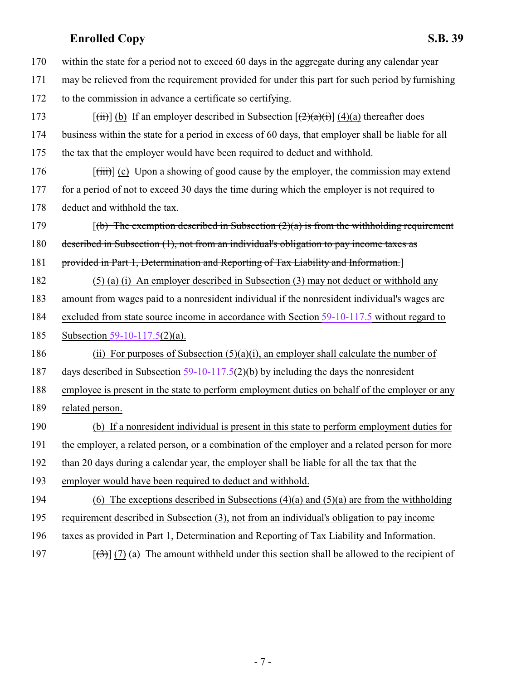| 170 | within the state for a period not to exceed 60 days in the aggregate during any calendar year                                               |
|-----|---------------------------------------------------------------------------------------------------------------------------------------------|
| 171 | may be relieved from the requirement provided for under this part for such period by furnishing                                             |
| 172 | to the commission in advance a certificate so certifying.                                                                                   |
| 173 | $[\overrightarrow{(ii)}]$ (b) If an employer described in Subsection $[\overrightarrow{(2)}(\overrightarrow{a})(i)]$ (4)(a) thereafter does |
| 174 | business within the state for a period in excess of 60 days, that employer shall be liable for all                                          |
| 175 | the tax that the employer would have been required to deduct and withhold.                                                                  |
| 176 | $[\overrightarrow{tiii}]$ (c) Upon a showing of good cause by the employer, the commission may extend                                       |
| 177 | for a period of not to exceed 30 days the time during which the employer is not required to                                                 |
| 178 | deduct and withhold the tax.                                                                                                                |
| 179 | $(6)$ The exemption described in Subsection (2)(a) is from the withholding requirement                                                      |
| 180 | described in Subsection (1), not from an individual's obligation to pay income taxes as                                                     |
| 181 | provided in Part 1, Determination and Reporting of Tax Liability and Information.                                                           |
| 182 | $(5)$ (a) (i) An employer described in Subsection (3) may not deduct or withhold any                                                        |
| 183 | amount from wages paid to a nonresident individual if the nonresident individual's wages are                                                |
| 184 | excluded from state source income in accordance with Section 59-10-117.5 without regard to                                                  |
| 185 | Subsection 59-10-117.5(2)(a).                                                                                                               |
| 186 | (ii) For purposes of Subsection $(5)(a)(i)$ , an employer shall calculate the number of                                                     |
| 187 | days described in Subsection $59-10-117.5(2)(b)$ by including the days the nonresident                                                      |
| 188 | employee is present in the state to perform employment duties on behalf of the employer or any                                              |
| 189 | related person.                                                                                                                             |
| 190 | (b) If a nonresident individual is present in this state to perform employment duties for                                                   |
| 191 | the employer, a related person, or a combination of the employer and a related person for more                                              |
| 192 | than 20 days during a calendar year, the employer shall be liable for all the tax that the                                                  |
| 193 | employer would have been required to deduct and withhold.                                                                                   |
| 194 | (6) The exceptions described in Subsections $(4)(a)$ and $(5)(a)$ are from the withholding                                                  |
| 195 | requirement described in Subsection (3), not from an individual's obligation to pay income                                                  |
| 196 | taxes as provided in Part 1, Determination and Reporting of Tax Liability and Information.                                                  |
| 197 | $[\frac{1}{2}](7)(a)$ The amount withheld under this section shall be allowed to the recipient of                                           |

- 7 -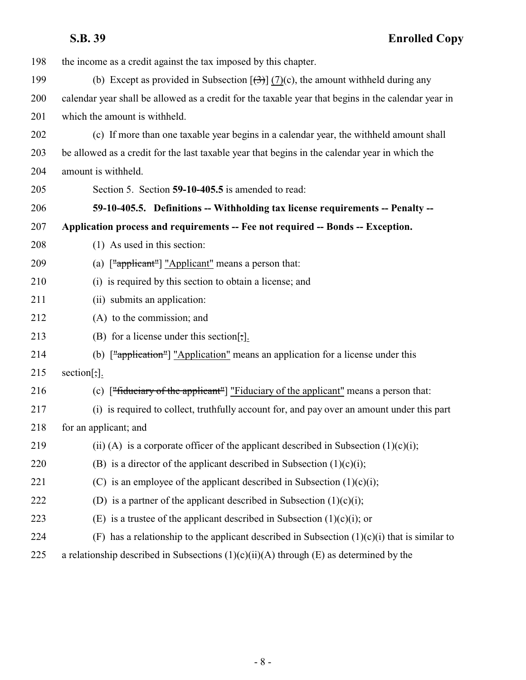<span id="page-7-0"></span>

| 198 | the income as a credit against the tax imposed by this chapter.                                                         |
|-----|-------------------------------------------------------------------------------------------------------------------------|
| 199 | (b) Except as provided in Subsection $[\frac{1}{2}]$ (7)(c), the amount withheld during any                             |
| 200 | calendar year shall be allowed as a credit for the taxable year that begins in the calendar year in                     |
| 201 | which the amount is withheld.                                                                                           |
| 202 | (c) If more than one taxable year begins in a calendar year, the withheld amount shall                                  |
| 203 | be allowed as a credit for the last taxable year that begins in the calendar year in which the                          |
| 204 | amount is withheld.                                                                                                     |
| 205 | Section 5. Section 59-10-405.5 is amended to read:                                                                      |
| 206 | 59-10-405.5. Definitions -- Withholding tax license requirements -- Penalty --                                          |
| 207 | Application process and requirements -- Fee not required -- Bonds -- Exception.                                         |
| 208 | $(1)$ As used in this section:                                                                                          |
| 209 | (a) ["applicant"] "Applicant" means a person that:                                                                      |
| 210 | (i) is required by this section to obtain a license; and                                                                |
| 211 | (ii) submits an application:                                                                                            |
| 212 | (A) to the commission; and                                                                                              |
| 213 | (B) for a license under this section[;].                                                                                |
| 214 | (b) $\left[\frac{\text{m} \cdot \text{m}}{\text{m}}\right]$ "Application" means an application for a license under this |
| 215 | section[:,].                                                                                                            |
| 216 | (c) $\lceil$ "fiduciary of the applicant" $\lceil$ "Fiduciary of the applicant" means a person that:                    |
| 217 | (i) is required to collect, truthfully account for, and pay over an amount under this part                              |
| 218 | for an applicant; and                                                                                                   |
| 219 | (ii) (A) is a corporate officer of the applicant described in Subsection $(1)(c)(i)$ ;                                  |
| 220 | (B) is a director of the applicant described in Subsection $(1)(c)(i)$ ;                                                |
| 221 | (C) is an employee of the applicant described in Subsection $(1)(c)(i)$ ;                                               |
| 222 | (D) is a partner of the applicant described in Subsection $(1)(c)(i)$ ;                                                 |
| 223 | (E) is a trustee of the applicant described in Subsection $(1)(c)(i)$ ; or                                              |
| 224 | (F) has a relationship to the applicant described in Subsection $(1)(c)(i)$ that is similar to                          |
| 225 | a relationship described in Subsections $(1)(c)(ii)(A)$ through $(E)$ as determined by the                              |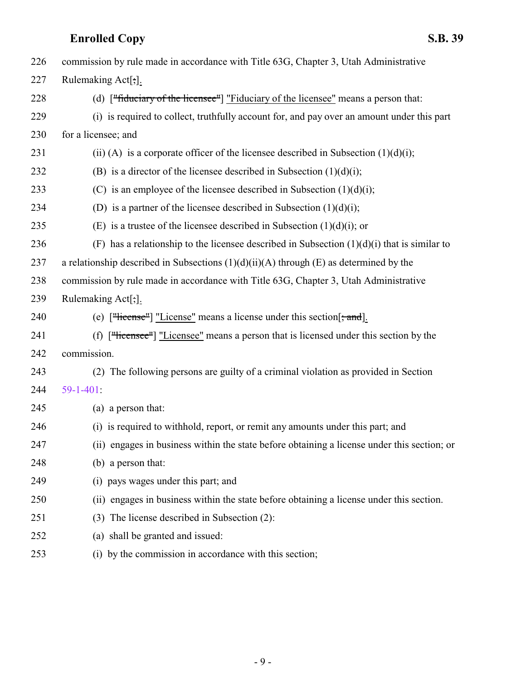| 226 | commission by rule made in accordance with Title 63G, Chapter 3, Utah Administrative                                                                                                                                                                                                                                                     |
|-----|------------------------------------------------------------------------------------------------------------------------------------------------------------------------------------------------------------------------------------------------------------------------------------------------------------------------------------------|
| 227 | Rulemaking Act[;].                                                                                                                                                                                                                                                                                                                       |
| 228 | (d) $\lceil$ "fiduciary of the licensee" $\lceil$ "Fiduciary of the licensee" means a person that:                                                                                                                                                                                                                                       |
| 229 | (i) is required to collect, truthfully account for, and pay over an amount under this part                                                                                                                                                                                                                                               |
| 230 | for a licensee; and                                                                                                                                                                                                                                                                                                                      |
| 231 | (ii) (A) is a corporate officer of the licensee described in Subsection $(1)(d)(i)$ ;                                                                                                                                                                                                                                                    |
| 232 | (B) is a director of the licensee described in Subsection $(1)(d)(i)$ ;                                                                                                                                                                                                                                                                  |
| 233 | (C) is an employee of the licensee described in Subsection $(1)(d)(i)$ ;                                                                                                                                                                                                                                                                 |
| 234 | (D) is a partner of the licensee described in Subsection $(1)(d)(i)$ ;                                                                                                                                                                                                                                                                   |
| 235 | (E) is a trustee of the licensee described in Subsection $(1)(d)(i)$ ; or                                                                                                                                                                                                                                                                |
| 236 | (F) has a relationship to the licensee described in Subsection $(1)(d)(i)$ that is similar to                                                                                                                                                                                                                                            |
| 237 | a relationship described in Subsections $(1)(d)(ii)(A)$ through $(E)$ as determined by the                                                                                                                                                                                                                                               |
| 238 | commission by rule made in accordance with Title 63G, Chapter 3, Utah Administrative                                                                                                                                                                                                                                                     |
| 239 | Rulemaking Act[;].                                                                                                                                                                                                                                                                                                                       |
| 240 | (e) $\lceil$ "Hicense"   "License" means a license under this section $\lceil$ , and $\rceil$ .                                                                                                                                                                                                                                          |
| 241 | (f) $[\lvert$ $\lvert$ $\lvert$ $\lvert$ $\lvert$ $\lvert$ $\lvert$ $\lvert$ $\lvert$ $\lvert$ $\lvert$ $\lvert$ $\lvert$ $\lvert$ $\lvert$ $\lvert$ $\lvert$ $\lvert$ $\lvert$ $\lvert$ $\lvert$ $\lvert$ $\lvert$ $\lvert$ $\lvert$ $\lvert$ $\lvert$ $\lvert$ $\lvert$ $\lvert$ $\lvert$ $\lvert$ $\lvert$ $\lvert$ $\lvert$ $\lvert$ |
| 242 | commission.                                                                                                                                                                                                                                                                                                                              |
| 243 | (2) The following persons are guilty of a criminal violation as provided in Section                                                                                                                                                                                                                                                      |
| 244 | $59-1-401$ :                                                                                                                                                                                                                                                                                                                             |
| 245 | (a) a person that:                                                                                                                                                                                                                                                                                                                       |
| 246 | (i) is required to withhold, report, or remit any amounts under this part; and                                                                                                                                                                                                                                                           |
| 247 | (ii) engages in business within the state before obtaining a license under this section; or                                                                                                                                                                                                                                              |
| 248 | (b) a person that:                                                                                                                                                                                                                                                                                                                       |
| 249 | (i) pays wages under this part; and                                                                                                                                                                                                                                                                                                      |
| 250 | (ii) engages in business within the state before obtaining a license under this section.                                                                                                                                                                                                                                                 |
| 251 | (3) The license described in Subsection (2):                                                                                                                                                                                                                                                                                             |
| 252 | (a) shall be granted and issued:                                                                                                                                                                                                                                                                                                         |
| 253 | (i) by the commission in accordance with this section;                                                                                                                                                                                                                                                                                   |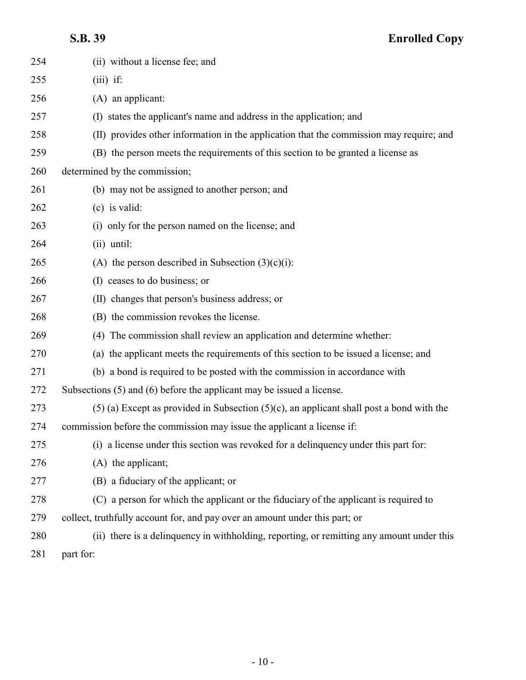| 254 | (ii) without a license fee; and                                                               |
|-----|-----------------------------------------------------------------------------------------------|
| 255 | $(iii)$ if:                                                                                   |
| 256 | (A) an applicant:                                                                             |
| 257 | (I) states the applicant's name and address in the application; and                           |
| 258 | (II) provides other information in the application that the commission may require; and       |
| 259 | (B) the person meets the requirements of this section to be granted a license as              |
| 260 | determined by the commission;                                                                 |
| 261 | (b) may not be assigned to another person; and                                                |
| 262 | $(c)$ is valid:                                                                               |
| 263 | (i) only for the person named on the license; and                                             |
| 264 | $(ii)$ until:                                                                                 |
| 265 | (A) the person described in Subsection $(3)(c)(i)$ :                                          |
| 266 | (I) ceases to do business; or                                                                 |
| 267 | (II) changes that person's business address; or                                               |
| 268 | (B) the commission revokes the license.                                                       |
| 269 | (4) The commission shall review an application and determine whether:                         |
| 270 | (a) the applicant meets the requirements of this section to be issued a license; and          |
| 271 | (b) a bond is required to be posted with the commission in accordance with                    |
| 272 | Subsections (5) and (6) before the applicant may be issued a license.                         |
| 273 | $(5)$ (a) Except as provided in Subsection $(5)(c)$ , an applicant shall post a bond with the |
| 274 | commission before the commission may issue the applicant a license if:                        |
| 275 | (i) a license under this section was revoked for a delinquency under this part for:           |
| 276 | (A) the applicant;                                                                            |
| 277 | (B) a fiduciary of the applicant; or                                                          |
| 278 | (C) a person for which the applicant or the fiduciary of the applicant is required to         |
| 279 | collect, truthfully account for, and pay over an amount under this part; or                   |
| 280 | (ii) there is a delinquency in withholding, reporting, or remitting any amount under this     |
| 281 | part for:                                                                                     |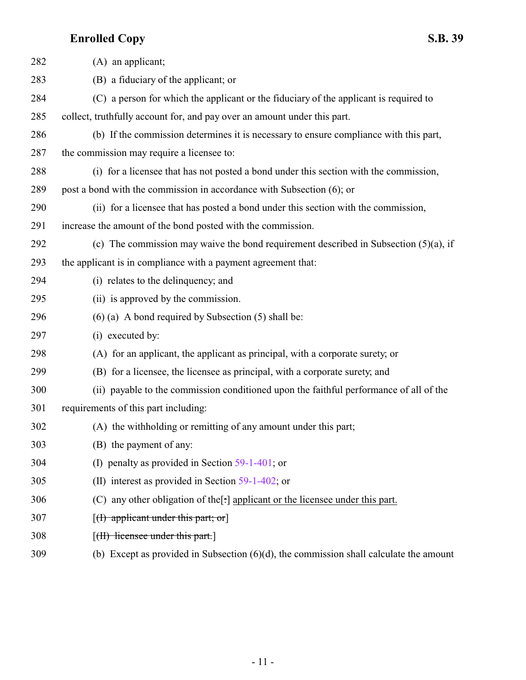| 282 | $(A)$ an applicant;                                                                       |
|-----|-------------------------------------------------------------------------------------------|
| 283 | (B) a fiduciary of the applicant; or                                                      |
| 284 | (C) a person for which the applicant or the fiduciary of the applicant is required to     |
| 285 | collect, truthfully account for, and pay over an amount under this part.                  |
| 286 | (b) If the commission determines it is necessary to ensure compliance with this part,     |
| 287 | the commission may require a licensee to:                                                 |
| 288 | (i) for a licensee that has not posted a bond under this section with the commission,     |
| 289 | post a bond with the commission in accordance with Subsection (6); or                     |
| 290 | (ii) for a licensee that has posted a bond under this section with the commission,        |
| 291 | increase the amount of the bond posted with the commission.                               |
| 292 | (c) The commission may waive the bond requirement described in Subsection $(5)(a)$ , if   |
| 293 | the applicant is in compliance with a payment agreement that:                             |
| 294 | (i) relates to the delinquency; and                                                       |
| 295 | (ii) is approved by the commission.                                                       |
| 296 | $(6)$ (a) A bond required by Subsection (5) shall be:                                     |
| 297 | (i) executed by:                                                                          |
| 298 | (A) for an applicant, the applicant as principal, with a corporate surety, or             |
| 299 | (B) for a licensee, the licensee as principal, with a corporate surety; and               |
| 300 | (ii) payable to the commission conditioned upon the faithful performance of all of the    |
| 301 | requirements of this part including:                                                      |
| 302 | (A) the withholding or remitting of any amount under this part;                           |
| 303 | (B) the payment of any:                                                                   |
| 304 | (I) penalty as provided in Section $59-1-401$ ; or                                        |
| 305 | (II) interest as provided in Section $59-1-402$ ; or                                      |
| 306 | (C) any other obligation of the[:] applicant or the licensee under this part.             |
| 307 | $[(1)$ applicant under this part; or                                                      |
| 308 | [(II) licensee under this part.]                                                          |
| 309 | (b) Except as provided in Subsection $(6)(d)$ , the commission shall calculate the amount |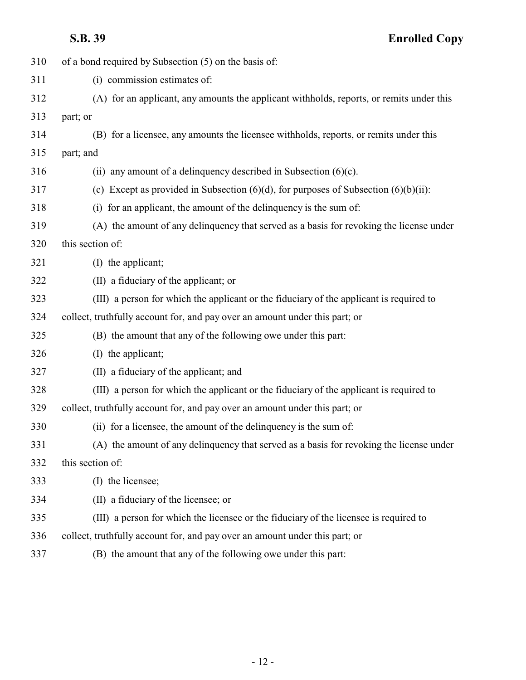| 310 | of a bond required by Subsection (5) on the basis of:                                     |
|-----|-------------------------------------------------------------------------------------------|
| 311 | (i) commission estimates of:                                                              |
| 312 | (A) for an applicant, any amounts the applicant withholds, reports, or remits under this  |
| 313 | part; or                                                                                  |
| 314 | (B) for a licensee, any amounts the licensee withholds, reports, or remits under this     |
| 315 | part; and                                                                                 |
| 316 | (ii) any amount of a delinquency described in Subsection $(6)(c)$ .                       |
| 317 | (c) Except as provided in Subsection $(6)(d)$ , for purposes of Subsection $(6)(b)(ii)$ : |
| 318 | (i) for an applicant, the amount of the delinquency is the sum of:                        |
| 319 | (A) the amount of any delinquency that served as a basis for revoking the license under   |
| 320 | this section of:                                                                          |
| 321 | (I) the applicant;                                                                        |
| 322 | (II) a fiduciary of the applicant; or                                                     |
| 323 | (III) a person for which the applicant or the fiduciary of the applicant is required to   |
| 324 | collect, truthfully account for, and pay over an amount under this part; or               |
| 325 | (B) the amount that any of the following owe under this part:                             |
| 326 | (I) the applicant;                                                                        |
| 327 | (II) a fiduciary of the applicant; and                                                    |
| 328 | (III) a person for which the applicant or the fiduciary of the applicant is required to   |
| 329 | collect, truthfully account for, and pay over an amount under this part; or               |
| 330 | (ii) for a licensee, the amount of the delinquency is the sum of:                         |
| 331 | (A) the amount of any delinquency that served as a basis for revoking the license under   |
| 332 | this section of:                                                                          |
| 333 | (I) the licensee;                                                                         |
| 334 | (II) a fiduciary of the licensee; or                                                      |
| 335 | (III) a person for which the licensee or the fiduciary of the licensee is required to     |
| 336 | collect, truthfully account for, and pay over an amount under this part; or               |
| 337 | (B) the amount that any of the following owe under this part:                             |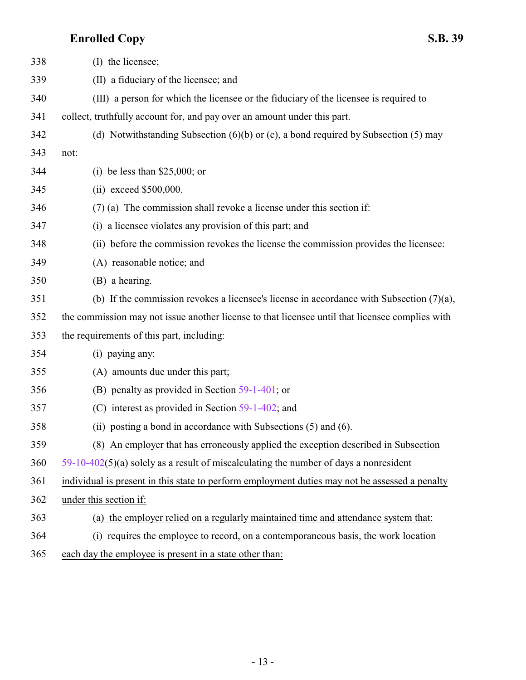| 338 | (I) the licensee;                                                                               |
|-----|-------------------------------------------------------------------------------------------------|
| 339 | (II) a fiduciary of the licensee; and                                                           |
| 340 | (III) a person for which the licensee or the fiduciary of the licensee is required to           |
| 341 | collect, truthfully account for, and pay over an amount under this part.                        |
| 342 | (d) Notwithstanding Subsection $(6)(b)$ or $(c)$ , a bond required by Subsection $(5)$ may      |
| 343 | not:                                                                                            |
| 344 | (i) be less than $$25,000$ ; or                                                                 |
| 345 | $(ii)$ exceed \$500,000.                                                                        |
| 346 | $(7)$ (a) The commission shall revoke a license under this section if:                          |
| 347 | (i) a licensee violates any provision of this part; and                                         |
| 348 | (ii) before the commission revokes the license the commission provides the licensee:            |
| 349 | (A) reasonable notice; and                                                                      |
| 350 | (B) a hearing.                                                                                  |
| 351 | (b) If the commission revokes a licensee's license in accordance with Subsection $(7)(a)$ ,     |
| 352 | the commission may not issue another license to that licensee until that licensee complies with |
| 353 | the requirements of this part, including:                                                       |
| 354 | (i) paying any:                                                                                 |
| 355 | (A) amounts due under this part;                                                                |
| 356 | (B) penalty as provided in Section $59-1-401$ ; or                                              |
| 357 | (C) interest as provided in Section $59-1-402$ ; and                                            |
| 358 | (ii) posting a bond in accordance with Subsections (5) and (6).                                 |
| 359 | An employer that has erroneously applied the exception described in Subsection<br>(8)           |
| 360 | $59-10-402(5)$ (a) solely as a result of miscalculating the number of days a nonresident        |
| 361 | individual is present in this state to perform employment duties may not be assessed a penalty  |
| 362 | under this section if:                                                                          |
| 363 | (a) the employer relied on a regularly maintained time and attendance system that:              |
| 364 | (i) requires the employee to record, on a contemporaneous basis, the work location              |
| 365 | each day the employee is present in a state other than:                                         |